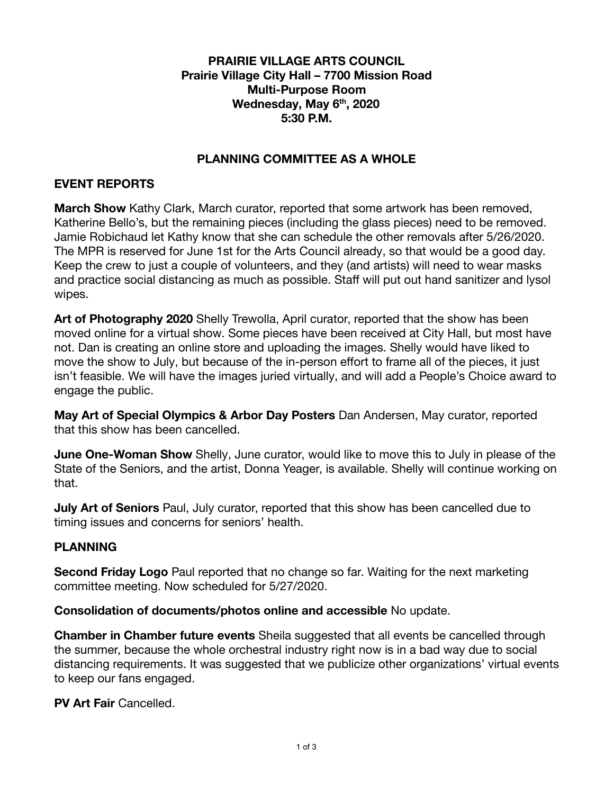### **PRAIRIE VILLAGE ARTS COUNCIL Prairie Village City Hall – 7700 Mission Road Multi-Purpose Room Wednesday, May 6 th , 2020 5:30 P.M.**

# **PLANNING COMMITTEE AS A WHOLE**

## **EVENT REPORTS**

**March Show** Kathy Clark, March curator, reported that some artwork has been removed, Katherine Bello's, but the remaining pieces (including the glass pieces) need to be removed. Jamie Robichaud let Kathy know that she can schedule the other removals after 5/26/2020. The MPR is reserved for June 1st for the Arts Council already, so that would be a good day. Keep the crew to just a couple of volunteers, and they (and artists) will need to wear masks and practice social distancing as much as possible. Staff will put out hand sanitizer and lysol wipes.

**Art of Photography 2020** Shelly Trewolla, April curator, reported that the show has been moved online for a virtual show. Some pieces have been received at City Hall, but most have not. Dan is creating an online store and uploading the images. Shelly would have liked to move the show to July, but because of the in-person effort to frame all of the pieces, it just isn't feasible. We will have the images juried virtually, and will add a People's Choice award to engage the public.

**May Art of Special Olympics & Arbor Day Posters** Dan Andersen, May curator, reported that this show has been cancelled.

**June One-Woman Show** Shelly, June curator, would like to move this to July in please of the State of the Seniors, and the artist, Donna Yeager, is available. Shelly will continue working on that.

**July Art of Seniors** Paul, July curator, reported that this show has been cancelled due to timing issues and concerns for seniors' health.

# **PLANNING**

**Second Friday Logo** Paul reported that no change so far. Waiting for the next marketing committee meeting. Now scheduled for 5/27/2020.

**Consolidation of documents/photos online and accessible** No update.

**Chamber in Chamber future events** Sheila suggested that all events be cancelled through the summer, because the whole orchestral industry right now is in a bad way due to social distancing requirements. It was suggested that we publicize other organizations' virtual events to keep our fans engaged.

**PV Art Fair Cancelled.**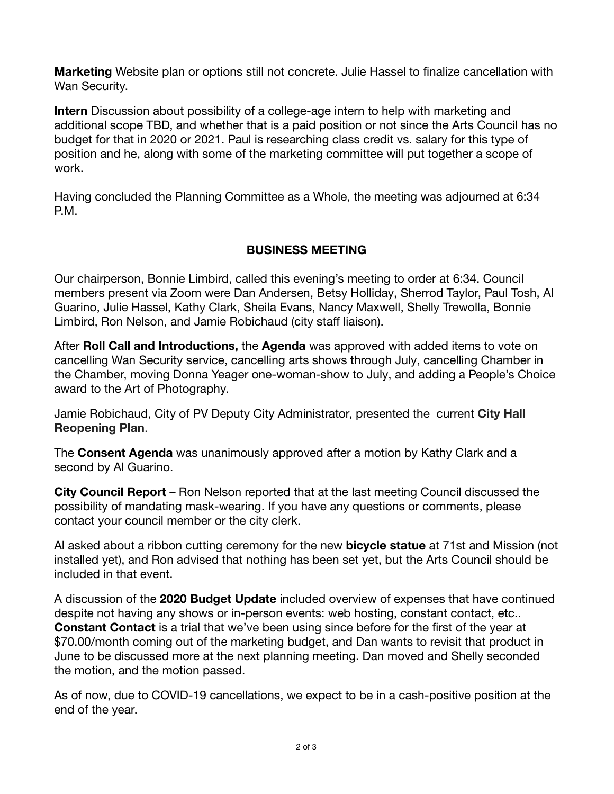**Marketing** Website plan or options still not concrete. Julie Hassel to finalize cancellation with Wan Security.

**Intern** Discussion about possibility of a college-age intern to help with marketing and additional scope TBD, and whether that is a paid position or not since the Arts Council has no budget for that in 2020 or 2021. Paul is researching class credit vs. salary for this type of position and he, along with some of the marketing committee will put together a scope of work.

Having concluded the Planning Committee as a Whole, the meeting was adjourned at 6:34 P.M.

# **BUSINESS MEETING**

Our chairperson, Bonnie Limbird, called this evening's meeting to order at 6:34. Council members present via Zoom were Dan Andersen, Betsy Holliday, Sherrod Taylor, Paul Tosh, Al Guarino, Julie Hassel, Kathy Clark, Sheila Evans, Nancy Maxwell, Shelly Trewolla, Bonnie Limbird, Ron Nelson, and Jamie Robichaud (city staff liaison).

After **Roll Call and Introductions,** the **Agenda** was approved with added items to vote on cancelling Wan Security service, cancelling arts shows through July, cancelling Chamber in the Chamber, moving Donna Yeager one-woman-show to July, and adding a People's Choice award to the Art of Photography.

Jamie Robichaud, City of PV Deputy City Administrator, presented the current **City Hall Reopening Plan.** 

The **Consent Agenda** was unanimously approved after a motion by Kathy Clark and a second by Al Guarino.

**City Council Report** – Ron Nelson reported that at the last meeting Council discussed the possibility of mandating mask-wearing. If you have any questions or comments, please contact your council member or the city clerk.

Al asked about a ribbon cutting ceremony for the new **bicycle statue** at 71st and Mission (not installed yet), and Ron advised that nothing has been set yet, but the Arts Council should be included in that event.

A discussion of the **2020 Budget Update** included overview of expenses that have continued despite not having any shows or in-person events: web hosting, constant contact, etc.. **Constant Contact** is a trial that we've been using since before for the first of the year at \$70.00/month coming out of the marketing budget, and Dan wants to revisit that product in June to be discussed more at the next planning meeting. Dan moved and Shelly seconded the motion, and the motion passed.

As of now, due to COVID-19 cancellations, we expect to be in a cash-positive position at the end of the year.